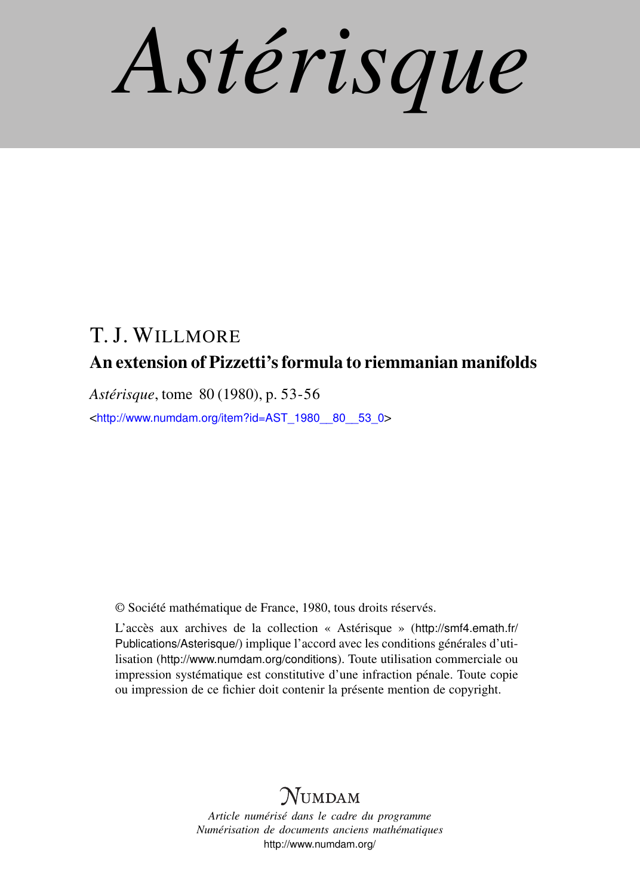*Astérisque*

# T. J. WILLMORE An extension of Pizzetti's formula to riemmanian manifolds

*Astérisque*, tome 80 (1980), p. 53-56

<[http://www.numdam.org/item?id=AST\\_1980\\_\\_80\\_\\_53\\_0](http://www.numdam.org/item?id=AST_1980__80__53_0)>

© Société mathématique de France, 1980, tous droits réservés.

L'accès aux archives de la collection « Astérisque » ([http://smf4.emath.fr/](http://smf4.emath.fr/Publications/Asterisque/) [Publications/Asterisque/](http://smf4.emath.fr/Publications/Asterisque/)) implique l'accord avec les conditions générales d'utilisation (<http://www.numdam.org/conditions>). Toute utilisation commerciale ou impression systématique est constitutive d'une infraction pénale. Toute copie ou impression de ce fichier doit contenir la présente mention de copyright.

## **NUMDAM**

*Article numérisé dans le cadre du programme Numérisation de documents anciens mathématiques* <http://www.numdam.org/>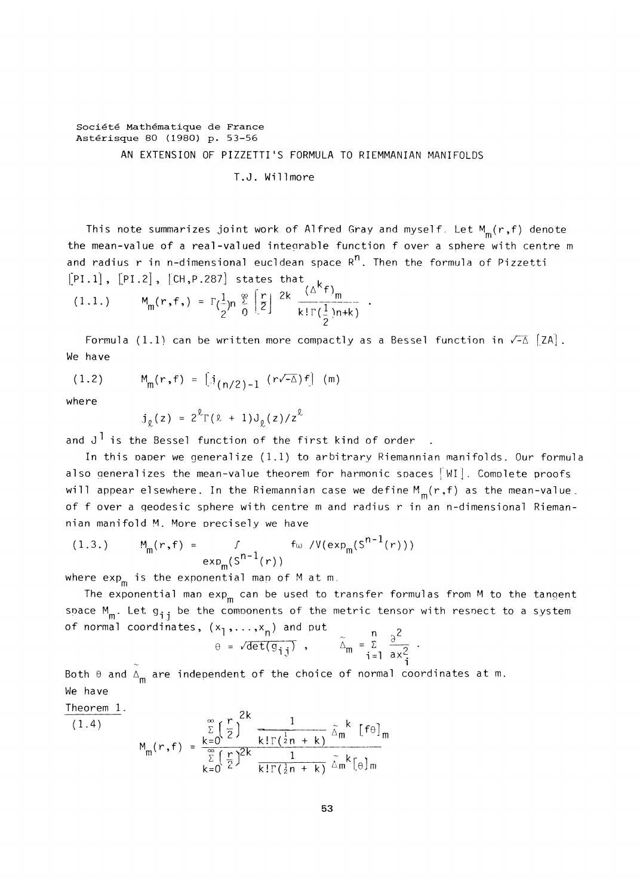### **Société Mathématique de France Astérisque** 80 (1980) **p.** 53-56 AN EXTENSION OF PIZZETTI'S FORMULA TO RIEMMANIAN MANIFOLDS

T.J. Willmore

This note summarizes joint work of Alfred Gray and myself. Let  $M_m(r, f)$  denote the mean-value of a real-valued integrable function f over a sphere with centre m and radius r in n-dimensional eucldean space  $R^n$ . Then the formula of Pizzetti  $[PI.1]$ ,  $[PI.2]$ ,  $[CH,P.287]$  states that  $\mu$ 

$$
(1.1.) \tM_m(r,f,) = \Gamma(\frac{1}{2})n \frac{e}{0} \left[ \frac{r}{2} \right] \frac{2k}{k! \Gamma(\frac{1}{2})n+k}.
$$

Formula (1.1) can be written more compactly as a Bessel function in  $\sqrt{-\Delta}$  [ZA]. We have

(1.2)  $M_m(r, f) = [j_{(n/2)-1} (r\sqrt{-\Delta})f]$  (m)

where

 $j_{\rho}(z) = 2^{\ell} \Gamma(\ell + 1) J_{\rho}(z)/z^{\ell}$ 

and  $J^{\dagger}$  is the Bessel function of the first kind of order.

In this paper we generalize (1.1) to arbitrary Riemannian manifolds. Our formula also generalizes the mean-value theorem for harmonic spaces  $\lceil \text{WI} \rceil$ . Complete proofs will appear elsewhere. In the Riemannian case we define  $M_m(r,f)$  as the mean-value. of f over a geodesic sphere with centre m and radius r in an n-dimensional Riemannian manifold M. More precisely we have

(1.3.) 
$$
M_{m}(r, f) = \int_{exp_{m}(S^{n-1}(r))} f_{w} / V(exp_{m}(S^{n-1}(r)))
$$

where  $exp_{m}$  is the exponential map of M at m.

The exponential map exp<sub>m</sub> can be used to transfer formulas from M to the tangent space  $\boldsymbol{\mathsf{M}}_{\mathsf{m}}$ . Let  $\boldsymbol{\mathsf{g}}_{\,\mathbf{i}\,\mathbf{j}}$  be the components of the metric tensor with resnect to a system of normal coordinates,  $(x_1,...,x_n)$  and put

$$
\theta = \sqrt{\det(g_{ij})} \quad , \qquad \tilde{\Delta}_{m} = \sum_{i=1}^{n} \frac{\partial^{2}}{\partial x_{i}^{2}}
$$

Both  $\theta$  and  $\Delta_{\mathsf{m}}$  are independent of the choice of normal coordinates at m. We have

Theorem 1.  
\n
$$
(1.4)
$$
\n
$$
M_{m}(r, f) = \frac{\sum_{k=0}^{\infty} \left(\frac{r}{2}\right)^{2k} \frac{1}{k!\Gamma(\frac{1}{2}n+k)} \tilde{\Delta}_{m}^{k} [f\theta]_{m}}{\sum_{k=0}^{\infty} \left(\frac{r}{2}\right)^{2k} \frac{1}{k!\Gamma(\frac{1}{2}n+k)} \tilde{\Delta}_{m}^{k} [\theta]_{m}}
$$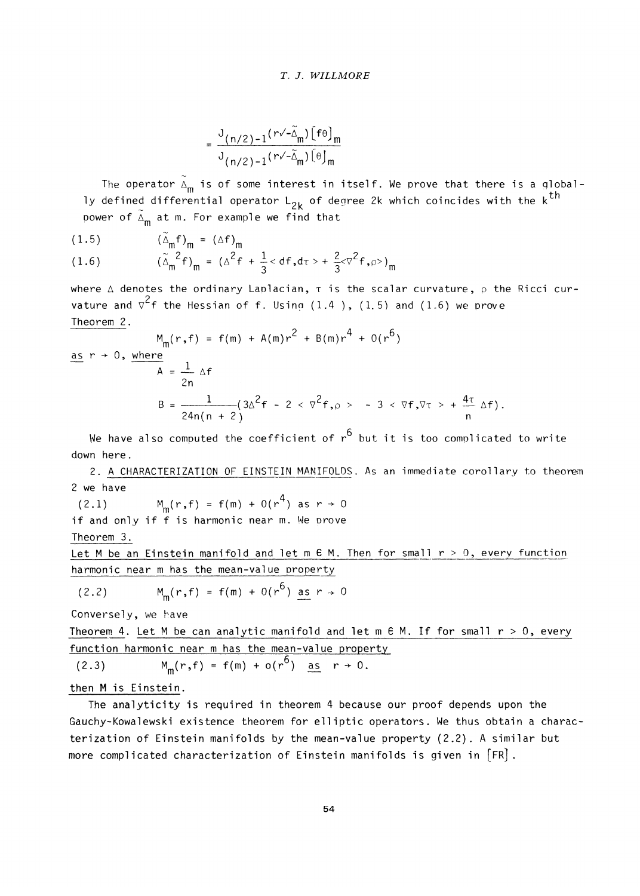#### **T. J. WILLMORE**

$$
=\frac{J_{(n/2)-1}(r\sqrt{-\tilde{\Delta}}_m)\left[f\theta\right]_m}{J_{(n/2)-1}(r\sqrt{-\tilde{\Delta}}_m)\left[\theta\right]_m}
$$

The operator  $\tilde{\Delta}_{m}$  is of some interest in itself. We prove that there is a globally defined differential operator  $L_{2k}$  of degree 2k which coincides with the k<sup>th</sup> power of  $\tilde{\Delta}_{m}$  at m. For example we find that

$$
(1.5) \t\t\t\t (\tilde{\Delta}_{\mathfrak{m}}f)_{\mathfrak{m}} = (\Delta f)_{\mathfrak{m}}
$$

(1.6) 
$$
(\tilde{\Delta}_{m}^{2}f)_{m} = (\Delta^{2}f + \frac{1}{3} < df, d\tau > + \frac{2}{3}\sqrt{2}f, \rho >)_{m}
$$

where  $\Delta$  denotes the ordinary Laplacian,  $\tau$  is the scalar curvature,  $\rho$  the Ricci curvature and  $\nabla^2$ f the Hessian of f. Using (1.4 ), (1.5) and (1.6) we prove Theorem 2.

$$
M_{\text{m}}(r, f) = f(m) + A(m)r^{2} + B(m)r^{4} + O(r^{6})
$$
\n
$$
\frac{as r \to 0, \text{ where}}{A} = \frac{1}{2n} \Delta f
$$
\n
$$
B = \frac{1}{24n(n + 2)} (3\Delta^{2} f - 2 < \nabla^{2} f, \rho > - 3 < \nabla f, \nabla \tau > + \frac{4\tau}{n} \Delta f).
$$

We have also computed the coefficient of  $r^6$  but it is too complicated to write down here.

2. A CHARACTERIZATION OF EINSTEIN MANIFOLDS. As an immediate corollary to theorem 2 we have

(2.1)  $M_m(r,f) = f(m) + O(r^4)$  as  $r \to 0$ if and only if f is harmonic near m. We prove Theorem 3.

Let M be an Einstein manifold and let m **6** M. Then for small r > 0, every function harmonic near m has the mean-value property

$$
(2.2) \t Mm(r,f) = f(m) + 0(r6) as r \to 0
$$

Conversely, we have

Theorem 4. Let **M** be can analytic manifold and let m 6 **M.** If for small r > 0, every function harmonic near m has the mean-value property

(2.3) 
$$
M_m(r, f) = f(m) + o(r^6)
$$
 as  $r \to 0$ .

#### then **M** is Einstein.

The analyticity is required in theorem 4 because our proof depends upon the Gauchy-Kowalewski existence theorem for elliptic operators. We thus obtain a characterization of Einstein manifolds by the mean-value property (2.2). A similar but more complicated characterization of Einstein manifolds is given in [FR] .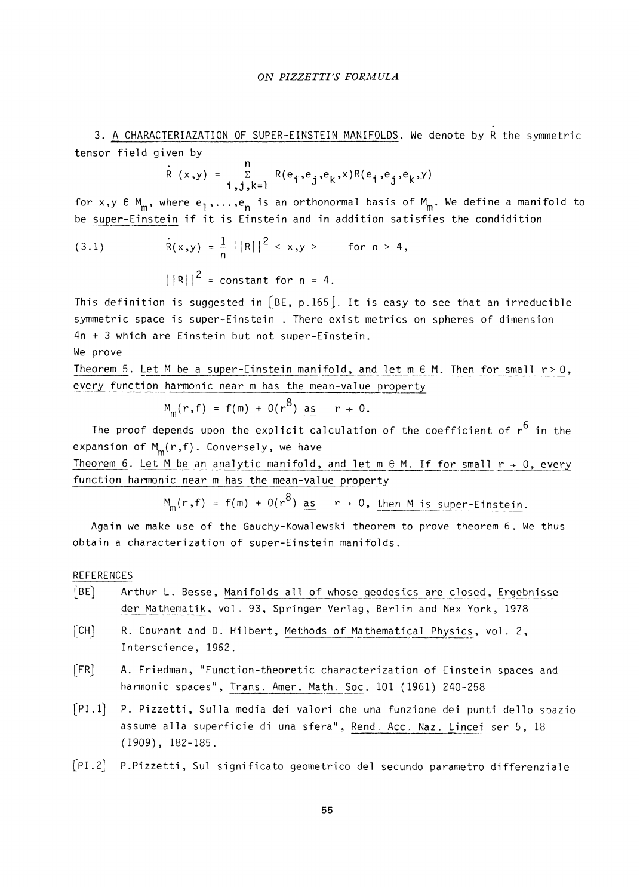3. A CHARACTERIAZATION OF SUPER-EINSTEIN MANIFOLDS. We denote by R the symmetric tensor field given by

$$
R (x,y) = \sum_{\substack{\sum \ i,j,k=1}}^{n} R(e_i,e_j,e_k,x)R(e_i,e_j,e_k,y)
$$

for x,y  $\epsilon$  M<sub>m</sub>, where  $e_1, \ldots, e_n$  is an orthonormal basis of M<sub>m</sub>. We define a manifold to be super-Einstein if it is Einstein and in addition satisfies the condidition

(3.1) 
$$
R(x,y) = \frac{1}{n} ||R||^2 < x,y > \text{ for } n > 4,
$$

$$
||R||^2 = \text{constant for } n = 4.
$$

This definition is suggested in  $[BE, p.165]$ . It is easy to see that an irreducible symmetric space is super-Einstein . There exist metrics on spheres of dimension 4n + 3 which are Einstein but not super-Einstein.

#### We prove

Theorem 5. Let M be a super-Einstein manifold, and let m  $\epsilon$  M. Then for small  $r > 0$ , every function harmonic near m has the mean-value property

$$
M_m(r, f) = f(m) + O(r^8)
$$
 as  $r \to 0$ .

The proof depends upon the explicit calculation of the coefficient of  $r^6$  in the expansion of  $M_m(r, f)$ . Conversely, we have

Theorem 6. Let M be an analytic manifold, and let m  $\epsilon$  M. If for small  $r \rightarrow 0$ , every function harmonic near m has the mean-value property

$$
M_m(r,f) = f(m) + O(r^8) \text{ as } r \to 0, \text{ then } M \text{ is super-Einstein.}
$$

Again we make use of the Gauchy-Kowalewski theorem to prove theorem 6. We thus obtain a characterization of super-Einstein manifolds.

#### REFERENCES

- [BE] Arthur L. Besse, Manifolds all of whose geodesics are closed, Ergebnisse der Mathematik, vol. 93, Springer Verlag, Berlin and Nex York, 1978
- **[CH]** R. Courant and D. Hilbert, Methods of Mathematical Physics, vol. 2, Interscience, 1962.
- [FR] A. Friedman, "Function-theoretic characterization of Einstein spaces and harmonic spaces", Trans. Amer. Math. Soc. 101 (1961) 240-258
- [PI.l] P. Pizzetti, Sulla media dei valori che una funzione dei punti dello spazio assume alla superficie di una sfera", Rend. Acc. Naz. Lincei ser 5, 18 (1909), 182-185.
- [PI-2] P. Pizzetti, Sul significato geometrico del secundo parametro differenziale